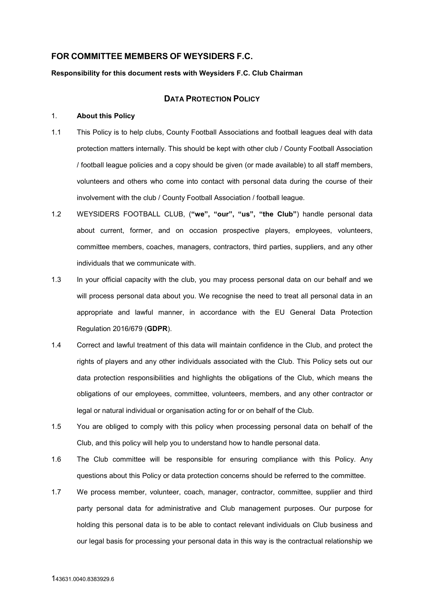## **FOR COMMITTEE MEMBERS OF WEYSIDERS F.C.**

#### **Responsibility for this document rests with Weysiders F.C. Club Chairman**

## **DATA PROTECTION POLICY**

## 1. **About this Policy**

- 1.1 This Policy is to help clubs, County Football Associations and football leagues deal with data protection matters internally. This should be kept with other club / County Football Association / football league policies and a copy should be given (or made available) to all staff members, volunteers and others who come into contact with personal data during the course of their involvement with the club / County Football Association / football league.
- 1.2 WEYSIDERS FOOTBALL CLUB, (**"we", "our", "us", "the Club"**) handle personal data about current, former, and on occasion prospective players, employees, volunteers, committee members, coaches, managers, contractors, third parties, suppliers, and any other individuals that we communicate with.
- 1.3 In your official capacity with the club, you may process personal data on our behalf and we will process personal data about you. We recognise the need to treat all personal data in an appropriate and lawful manner, in accordance with the EU General Data Protection Regulation 2016/679 (**GDPR**).
- 1.4 Correct and lawful treatment of this data will maintain confidence in the Club, and protect the rights of players and any other individuals associated with the Club. This Policy sets out our data protection responsibilities and highlights the obligations of the Club, which means the obligations of our employees, committee, volunteers, members, and any other contractor or legal or natural individual or organisation acting for or on behalf of the Club.
- 1.5 You are obliged to comply with this policy when processing personal data on behalf of the Club, and this policy will help you to understand how to handle personal data.
- 1.6 The Club committee will be responsible for ensuring compliance with this Policy. Any questions about this Policy or data protection concerns should be referred to the committee.
- 1.7 We process member, volunteer, coach, manager, contractor, committee, supplier and third party personal data for administrative and Club management purposes. Our purpose for holding this personal data is to be able to contact relevant individuals on Club business and our legal basis for processing your personal data in this way is the contractual relationship we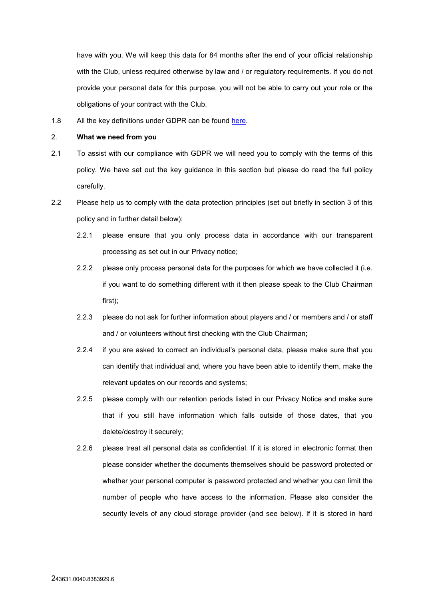have with you. We will keep this data for 84 months after the end of your official relationship with the Club, unless required otherwise by law and / or regulatory requirements. If you do not provide your personal data for this purpose, you will not be able to carry out your role or the obligations of your contract with the Club.

1.8 All the key definitions under GDPR can be found here.

#### 2. **What we need from you**

- 2.1 To assist with our compliance with GDPR we will need you to comply with the terms of this policy. We have set out the key guidance in this section but please do read the full policy carefully.
- 2.2 Please help us to comply with the data protection principles (set out briefly in section 3 of this policy and in further detail below):
	- 2.2.1 please ensure that you only process data in accordance with our transparent processing as set out in our Privacy notice;
	- 2.2.2 please only process personal data for the purposes for which we have collected it (i.e. if you want to do something different with it then please speak to the Club Chairman first);
	- 2.2.3 please do not ask for further information about players and / or members and / or staff and / or volunteers without first checking with the Club Chairman;
	- 2.2.4 if you are asked to correct an individual's personal data, please make sure that you can identify that individual and, where you have been able to identify them, make the relevant updates on our records and systems;
	- 2.2.5 please comply with our retention periods listed in our Privacy Notice and make sure that if you still have information which falls outside of those dates, that you delete/destroy it securely;
	- 2.2.6 please treat all personal data as confidential. If it is stored in electronic format then please consider whether the documents themselves should be password protected or whether your personal computer is password protected and whether you can limit the number of people who have access to the information. Please also consider the security levels of any cloud storage provider (and see below). If it is stored in hard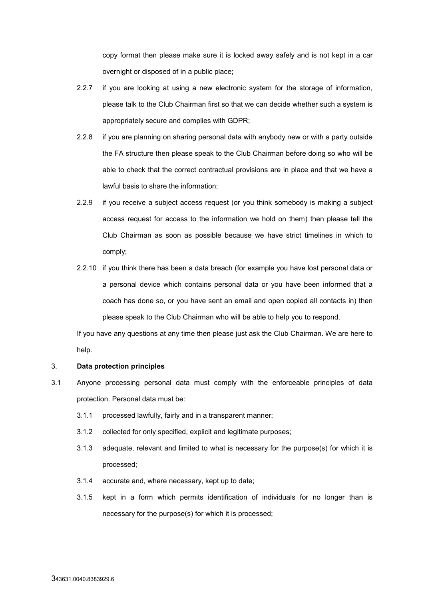copy format then please make sure it is locked away safely and is not kept in a car overnight or disposed of in a public place;

- 2.2.7 if you are looking at using a new electronic system for the storage of information, please talk to the Club Chairman first so that we can decide whether such a system is appropriately secure and complies with GDPR;
- 2.2.8 if you are planning on sharing personal data with anybody new or with a party outside the FA structure then please speak to the Club Chairman before doing so who will be able to check that the correct contractual provisions are in place and that we have a lawful basis to share the information;
- 2.2.9 if you receive a subject access request (or you think somebody is making a subject access request for access to the information we hold on them) then please tell the Club Chairman as soon as possible because we have strict timelines in which to comply;
- 2.2.10 if you think there has been a data breach (for example you have lost personal data or a personal device which contains personal data or you have been informed that a coach has done so, or you have sent an email and open copied all contacts in) then please speak to the Club Chairman who will be able to help you to respond.

If you have any questions at any time then please just ask the Club Chairman. We are here to help.

#### 3. **Data protection principles**

- 3.1 Anyone processing personal data must comply with the enforceable principles of data protection. Personal data must be:
	- 3.1.1 processed lawfully, fairly and in a transparent manner;
	- 3.1.2 collected for only specified, explicit and legitimate purposes;
	- 3.1.3 adequate, relevant and limited to what is necessary for the purpose(s) for which it is processed;
	- 3.1.4 accurate and, where necessary, kept up to date;
	- 3.1.5 kept in a form which permits identification of individuals for no longer than is necessary for the purpose(s) for which it is processed;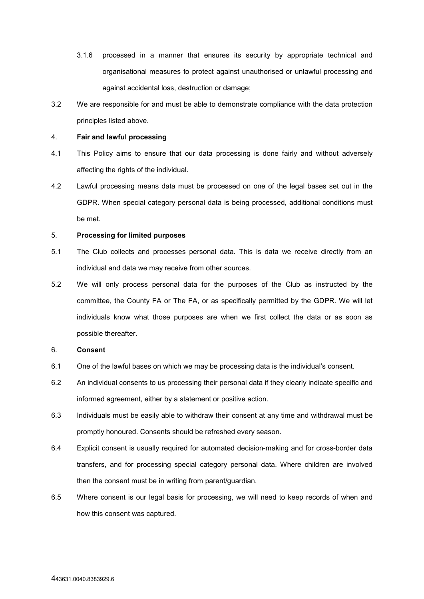- 3.1.6 processed in a manner that ensures its security by appropriate technical and organisational measures to protect against unauthorised or unlawful processing and against accidental loss, destruction or damage;
- 3.2 We are responsible for and must be able to demonstrate compliance with the data protection principles listed above.

### 4. **Fair and lawful processing**

- 4.1 This Policy aims to ensure that our data processing is done fairly and without adversely affecting the rights of the individual.
- 4.2 Lawful processing means data must be processed on one of the legal bases set out in the GDPR. When special category personal data is being processed, additional conditions must be met.

## 5. **Processing for limited purposes**

- 5.1 The Club collects and processes personal data. This is data we receive directly from an individual and data we may receive from other sources.
- 5.2 We will only process personal data for the purposes of the Club as instructed by the committee, the County FA or The FA, or as specifically permitted by the GDPR. We will let individuals know what those purposes are when we first collect the data or as soon as possible thereafter.

## 6. **Consent**

- 6.1 One of the lawful bases on which we may be processing data is the individual's consent.
- 6.2 An individual consents to us processing their personal data if they clearly indicate specific and informed agreement, either by a statement or positive action.
- 6.3 Individuals must be easily able to withdraw their consent at any time and withdrawal must be promptly honoured. Consents should be refreshed every season.
- 6.4 Explicit consent is usually required for automated decision-making and for cross-border data transfers, and for processing special category personal data. Where children are involved then the consent must be in writing from parent/guardian.
- 6.5 Where consent is our legal basis for processing, we will need to keep records of when and how this consent was captured.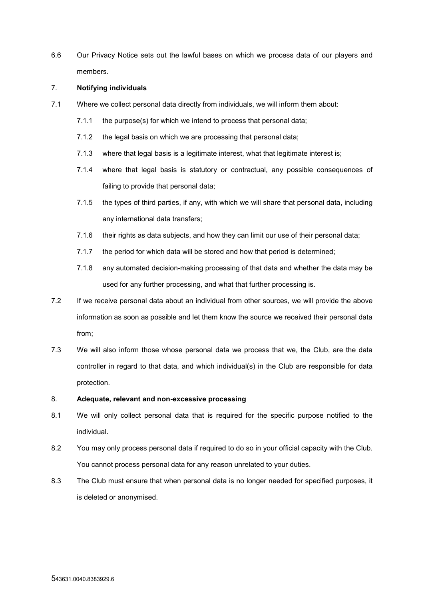6.6 Our Privacy Notice sets out the lawful bases on which we process data of our players and members.

### 7. **Notifying individuals**

- 7.1 Where we collect personal data directly from individuals, we will inform them about:
	- 7.1.1 the purpose(s) for which we intend to process that personal data;
	- 7.1.2 the legal basis on which we are processing that personal data;
	- 7.1.3 where that legal basis is a legitimate interest, what that legitimate interest is;
	- 7.1.4 where that legal basis is statutory or contractual, any possible consequences of failing to provide that personal data;
	- 7.1.5 the types of third parties, if any, with which we will share that personal data, including any international data transfers;
	- 7.1.6 their rights as data subjects, and how they can limit our use of their personal data;
	- 7.1.7 the period for which data will be stored and how that period is determined;
	- 7.1.8 any automated decision-making processing of that data and whether the data may be used for any further processing, and what that further processing is.
- 7.2 If we receive personal data about an individual from other sources, we will provide the above information as soon as possible and let them know the source we received their personal data from;
- 7.3 We will also inform those whose personal data we process that we, the Club, are the data controller in regard to that data, and which individual(s) in the Club are responsible for data protection.

# 8. **Adequate, relevant and non-excessive processing**

- 8.1 We will only collect personal data that is required for the specific purpose notified to the individual.
- 8.2 You may only process personal data if required to do so in your official capacity with the Club. You cannot process personal data for any reason unrelated to your duties.
- 8.3 The Club must ensure that when personal data is no longer needed for specified purposes, it is deleted or anonymised.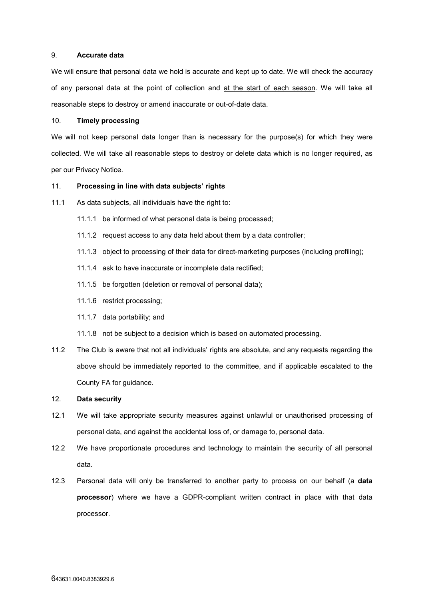## 9. **Accurate data**

We will ensure that personal data we hold is accurate and kept up to date. We will check the accuracy of any personal data at the point of collection and at the start of each season. We will take all reasonable steps to destroy or amend inaccurate or out-of-date data.

## 10. **Timely processing**

We will not keep personal data longer than is necessary for the purpose(s) for which they were collected. We will take all reasonable steps to destroy or delete data which is no longer required, as per our Privacy Notice.

#### 11. **Processing in line with data subjects' rights**

- 11.1 As data subjects, all individuals have the right to:
	- 11.1.1 be informed of what personal data is being processed;
	- 11.1.2 request access to any data held about them by a data controller;
	- 11.1.3 object to processing of their data for direct-marketing purposes (including profiling);
	- 11.1.4 ask to have inaccurate or incomplete data rectified;
	- 11.1.5 be forgotten (deletion or removal of personal data);
	- 11.1.6 restrict processing;
	- 11.1.7 data portability; and
	- 11.1.8 not be subject to a decision which is based on automated processing.
- 11.2 The Club is aware that not all individuals' rights are absolute, and any requests regarding the above should be immediately reported to the committee, and if applicable escalated to the County FA for guidance.

#### 12. **Data security**

- 12.1 We will take appropriate security measures against unlawful or unauthorised processing of personal data, and against the accidental loss of, or damage to, personal data.
- 12.2 We have proportionate procedures and technology to maintain the security of all personal data.
- 12.3 Personal data will only be transferred to another party to process on our behalf (a **data processor**) where we have a GDPR-compliant written contract in place with that data processor.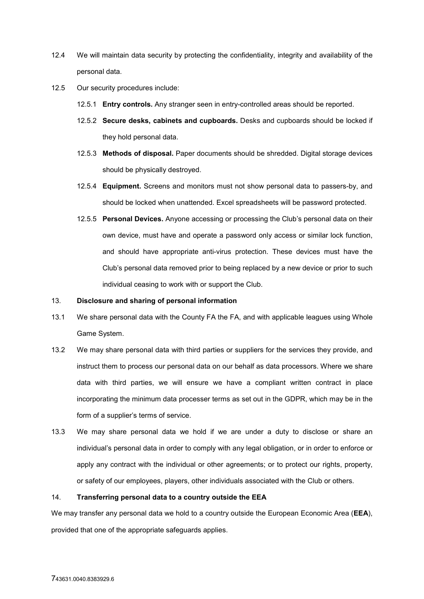- 12.4 We will maintain data security by protecting the confidentiality, integrity and availability of the personal data.
- 12.5 Our security procedures include:
	- 12.5.1 **Entry controls.** Any stranger seen in entry-controlled areas should be reported.
	- 12.5.2 **Secure desks, cabinets and cupboards.** Desks and cupboards should be locked if they hold personal data.
	- 12.5.3 **Methods of disposal.** Paper documents should be shredded. Digital storage devices should be physically destroyed.
	- 12.5.4 **Equipment.** Screens and monitors must not show personal data to passers-by, and should be locked when unattended. Excel spreadsheets will be password protected.
	- 12.5.5 **Personal Devices.** Anyone accessing or processing the Club's personal data on their own device, must have and operate a password only access or similar lock function, and should have appropriate anti-virus protection. These devices must have the Club's personal data removed prior to being replaced by a new device or prior to such individual ceasing to work with or support the Club.

### 13. **Disclosure and sharing of personal information**

- 13.1 We share personal data with the County FA the FA, and with applicable leagues using Whole Game System.
- 13.2 We may share personal data with third parties or suppliers for the services they provide, and instruct them to process our personal data on our behalf as data processors. Where we share data with third parties, we will ensure we have a compliant written contract in place incorporating the minimum data processer terms as set out in the GDPR, which may be in the form of a supplier's terms of service.
- 13.3 We may share personal data we hold if we are under a duty to disclose or share an individual's personal data in order to comply with any legal obligation, or in order to enforce or apply any contract with the individual or other agreements; or to protect our rights, property, or safety of our employees, players, other individuals associated with the Club or others.

## 14. **Transferring personal data to a country outside the EEA**

We may transfer any personal data we hold to a country outside the European Economic Area (**EEA**), provided that one of the appropriate safeguards applies.